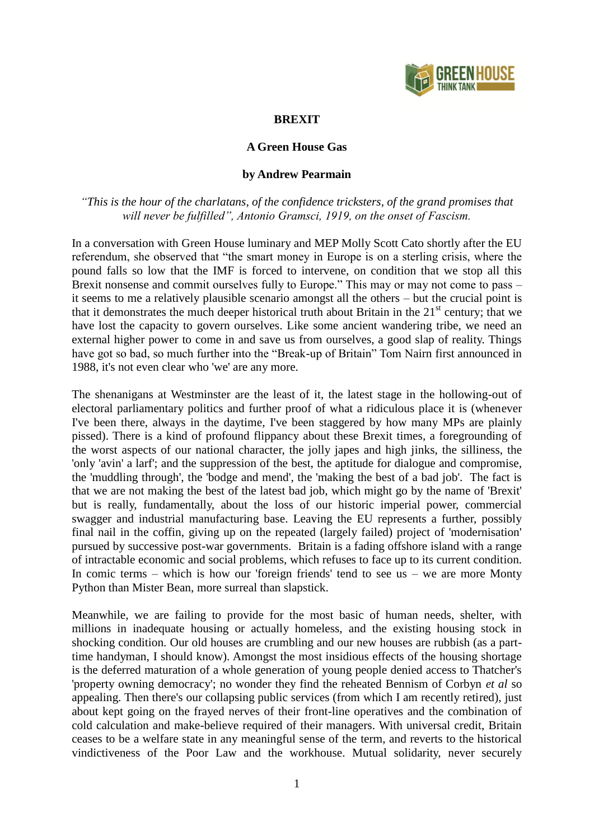

## **BREXIT**

## **A Green House Gas**

## **by Andrew Pearmain**

*"This is the hour of the charlatans, of the confidence tricksters, of the grand promises that will never be fulfilled", Antonio Gramsci, 1919, on the onset of Fascism.*

In a conversation with Green House luminary and MEP Molly Scott Cato shortly after the EU referendum, she observed that "the smart money in Europe is on a sterling crisis, where the pound falls so low that the IMF is forced to intervene, on condition that we stop all this Brexit nonsense and commit ourselves fully to Europe." This may or may not come to pass – it seems to me a relatively plausible scenario amongst all the others – but the crucial point is that it demonstrates the much deeper historical truth about Britain in the  $21<sup>st</sup>$  century; that we have lost the capacity to govern ourselves. Like some ancient wandering tribe, we need an external higher power to come in and save us from ourselves, a good slap of reality. Things have got so bad, so much further into the "Break-up of Britain" Tom Nairn first announced in 1988, it's not even clear who 'we' are any more.

The shenanigans at Westminster are the least of it, the latest stage in the hollowing-out of electoral parliamentary politics and further proof of what a ridiculous place it is (whenever I've been there, always in the daytime, I've been staggered by how many MPs are plainly pissed). There is a kind of profound flippancy about these Brexit times, a foregrounding of the worst aspects of our national character, the jolly japes and high jinks, the silliness, the 'only 'avin' a larf'; and the suppression of the best, the aptitude for dialogue and compromise, the 'muddling through', the 'bodge and mend', the 'making the best of a bad job'. The fact is that we are not making the best of the latest bad job, which might go by the name of 'Brexit' but is really, fundamentally, about the loss of our historic imperial power, commercial swagger and industrial manufacturing base. Leaving the EU represents a further, possibly final nail in the coffin, giving up on the repeated (largely failed) project of 'modernisation' pursued by successive post-war governments. Britain is a fading offshore island with a range of intractable economic and social problems, which refuses to face up to its current condition. In comic terms – which is how our 'foreign friends' tend to see us – we are more Monty Python than Mister Bean, more surreal than slapstick.

Meanwhile, we are failing to provide for the most basic of human needs, shelter, with millions in inadequate housing or actually homeless, and the existing housing stock in shocking condition. Our old houses are crumbling and our new houses are rubbish (as a parttime handyman, I should know). Amongst the most insidious effects of the housing shortage is the deferred maturation of a whole generation of young people denied access to Thatcher's 'property owning democracy'; no wonder they find the reheated Bennism of Corbyn *et al* so appealing. Then there's our collapsing public services (from which I am recently retired), just about kept going on the frayed nerves of their front-line operatives and the combination of cold calculation and make-believe required of their managers. With universal credit, Britain ceases to be a welfare state in any meaningful sense of the term, and reverts to the historical vindictiveness of the Poor Law and the workhouse. Mutual solidarity, never securely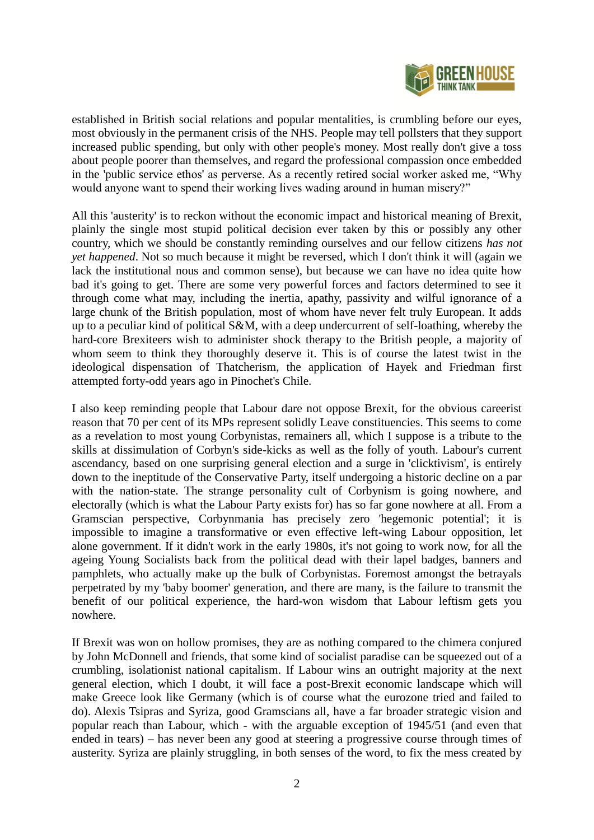

established in British social relations and popular mentalities, is crumbling before our eyes, most obviously in the permanent crisis of the NHS. People may tell pollsters that they support increased public spending, but only with other people's money. Most really don't give a toss about people poorer than themselves, and regard the professional compassion once embedded in the 'public service ethos' as perverse. As a recently retired social worker asked me, "Why would anyone want to spend their working lives wading around in human misery?"

All this 'austerity' is to reckon without the economic impact and historical meaning of Brexit, plainly the single most stupid political decision ever taken by this or possibly any other country, which we should be constantly reminding ourselves and our fellow citizens *has not yet happened*. Not so much because it might be reversed, which I don't think it will (again we lack the institutional nous and common sense), but because we can have no idea quite how bad it's going to get. There are some very powerful forces and factors determined to see it through come what may, including the inertia, apathy, passivity and wilful ignorance of a large chunk of the British population, most of whom have never felt truly European. It adds up to a peculiar kind of political S&M, with a deep undercurrent of self-loathing, whereby the hard-core Brexiteers wish to administer shock therapy to the British people, a majority of whom seem to think they thoroughly deserve it. This is of course the latest twist in the ideological dispensation of Thatcherism, the application of Hayek and Friedman first attempted forty-odd years ago in Pinochet's Chile.

I also keep reminding people that Labour dare not oppose Brexit, for the obvious careerist reason that 70 per cent of its MPs represent solidly Leave constituencies. This seems to come as a revelation to most young Corbynistas, remainers all, which I suppose is a tribute to the skills at dissimulation of Corbyn's side-kicks as well as the folly of youth. Labour's current ascendancy, based on one surprising general election and a surge in 'clicktivism', is entirely down to the ineptitude of the Conservative Party, itself undergoing a historic decline on a par with the nation-state. The strange personality cult of Corbynism is going nowhere, and electorally (which is what the Labour Party exists for) has so far gone nowhere at all. From a Gramscian perspective, Corbynmania has precisely zero 'hegemonic potential'; it is impossible to imagine a transformative or even effective left-wing Labour opposition, let alone government. If it didn't work in the early 1980s, it's not going to work now, for all the ageing Young Socialists back from the political dead with their lapel badges, banners and pamphlets, who actually make up the bulk of Corbynistas. Foremost amongst the betrayals perpetrated by my 'baby boomer' generation, and there are many, is the failure to transmit the benefit of our political experience, the hard-won wisdom that Labour leftism gets you nowhere.

If Brexit was won on hollow promises, they are as nothing compared to the chimera conjured by John McDonnell and friends, that some kind of socialist paradise can be squeezed out of a crumbling, isolationist national capitalism. If Labour wins an outright majority at the next general election, which I doubt, it will face a post-Brexit economic landscape which will make Greece look like Germany (which is of course what the eurozone tried and failed to do). Alexis Tsipras and Syriza, good Gramscians all, have a far broader strategic vision and popular reach than Labour, which - with the arguable exception of 1945/51 (and even that ended in tears) – has never been any good at steering a progressive course through times of austerity. Syriza are plainly struggling, in both senses of the word, to fix the mess created by